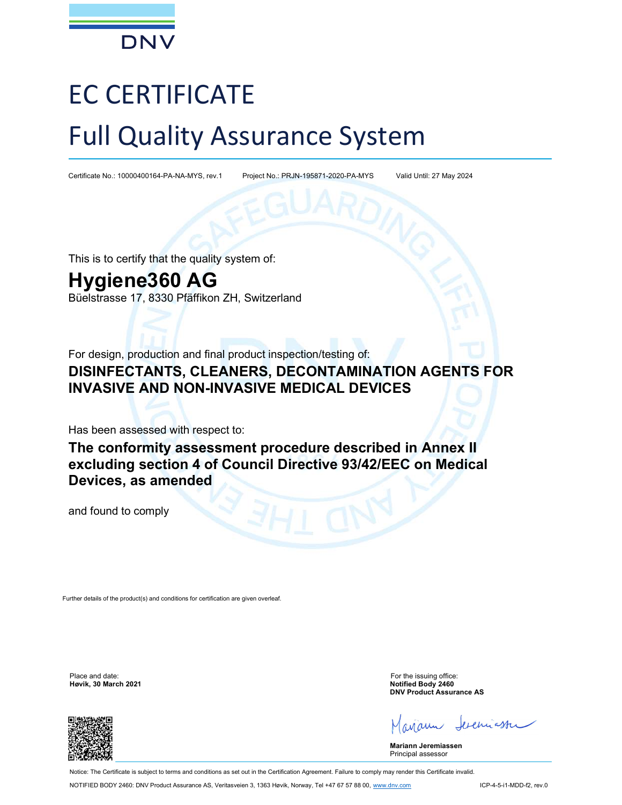

# EC CERTIFICATE Full Quality Assurance System

Certificate No.: 10000400164-PA-NA-MYS, rev.1 Project No.: PRJN-195871-2020-PA-MYS Valid Until: 27 May 2024

This is to certify that the quality system of:

## Hygiene360 AG

Büelstrasse 17, 8330 Pfäffikon ZH, Switzerland

For design, production and final product inspection/testing of:

### DISINFECTANTS, CLEANERS, DECONTAMINATION AGENTS FOR INVASIVE AND NON-INVASIVE MEDICAL DEVICES

Has been assessed with respect to:

The conformity assessment procedure described in Annex II excluding section 4 of Council Directive 93/42/EEC on Medical Devices, as amended

and found to comply

Further details of the product(s) and conditions for certification are given overleaf.

Place and date: For the issuing office: For the issuing office: Høvik, 30 March 2021 Notified Body 2460

DNV Product Assurance AS

exemiaster

Mariann Jeremiassen Principal assessor

Notice: The Certificate is subject to terms and conditions as set out in the Certification Agreement. Failure to comply may render this Certificate invalid.

NOTIFIED BODY 2460: DNV Product Assurance AS, Veritasveien 3, 1363 Høvik, Norway, Tel +47 67 57 88 00, www.dnv.com ICP-4-5-i1-MDD-f2, rev.0